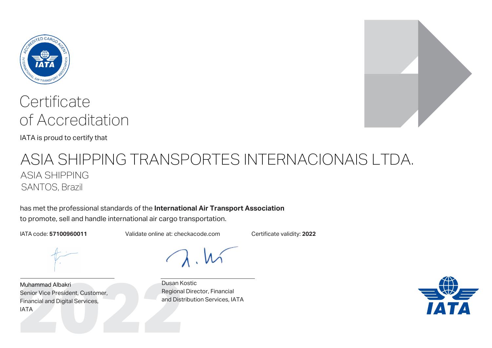

IATA is proud to certify that

## ASIA SHIPPING TRANSPORTES INTERNACIONAIS LTDA. ASIA SHIPPING SANTOS, Brazil

has met the professional standards of the **International Air Transport Association** to promote, sell and handle international air cargo transportation.

IATA code: **57100960011** Validate online at: checkacode.com Certificate validity: **2022**

Muhammad Albakri<br>
Senior Vice President, Customer, Regiona<br>
Financial and Digital Services,<br>
IATA<br>
Pusan K<br>
Regiona<br>
and Dist Muhammad Albakri Senior Vice President, Customer, Financial and Digital Services, IATA



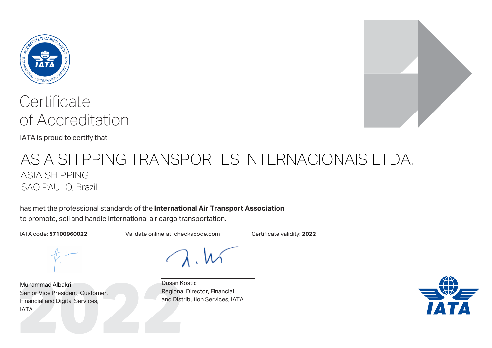

IATA is proud to certify that

## ASIA SHIPPING TRANSPORTES INTERNACIONAIS LTDA. ASIA SHIPPING SAO PAULO, Brazil

has met the professional standards of the **International Air Transport Association** to promote, sell and handle international air cargo transportation.

IATA code: **57100960022** Validate online at: checkacode.com Certificate validity: **2022**

Muhammad Albakri<br>
Senior Vice President, Customer, Regiona<br>
Financial and Digital Services,<br>
IATA<br>
Pusan K<br>
Regiona<br>
and Dist Muhammad Albakri Senior Vice President, Customer, Financial and Digital Services, IATA



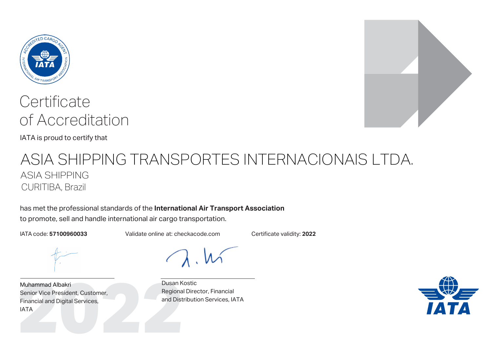

IATA is proud to certify that

## ASIA SHIPPING TRANSPORTES INTERNACIONAIS LTDA. ASIA SHIPPING CURITIBA, Brazil

has met the professional standards of the **International Air Transport Association** to promote, sell and handle international air cargo transportation.

IATA code: **57100960033** Validate online at: checkacode.com Certificate validity: **2022**

Muhammad Albakri<br>
Senior Vice President, Customer, Regiona<br>
Financial and Digital Services,<br>
IATA<br>
Pusan K<br>
Regiona<br>
and Dist Muhammad Albakri Senior Vice President, Customer, Financial and Digital Services, IATA



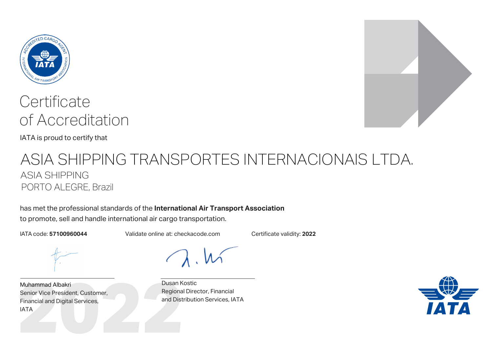

IATA is proud to certify that

### ASIA SHIPPING TRANSPORTES INTERNACIONAIS LTDA. ASIA SHIPPING PORTO ALEGRE, Brazil

has met the professional standards of the **International Air Transport Association** to promote, sell and handle international air cargo transportation.

IATA code: **57100960044** Validate online at: checkacode.com Certificate validity: **2022**

Muhammad Albakri<br>
Senior Vice President, Customer, Regiona<br>
Financial and Digital Services,<br>
IATA<br>
Pusan K<br>
Regiona<br>
and Dist Muhammad Albakri Senior Vice President, Customer, Financial and Digital Services, IATA





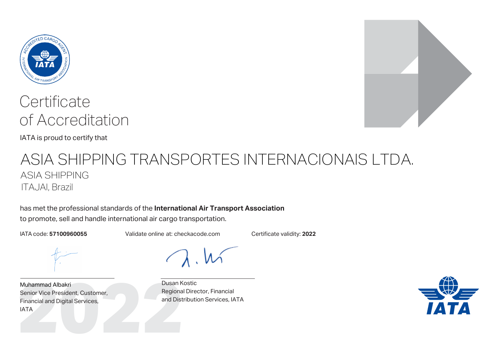

IATA is proud to certify that

## ASIA SHIPPING TRANSPORTES INTERNACIONAIS LTDA. ASIA SHIPPING ITAJAI, Brazil

has met the professional standards of the **International Air Transport Association** to promote, sell and handle international air cargo transportation.

IATA code: **57100960055** Validate online at: checkacode.com Certificate validity: **2022**

Muhammad Albakri<br>
Senior Vice President, Customer, Regiona<br>
Financial and Digital Services,<br>
IATA<br>
Pusan K<br>
Regiona<br>
and Dist Muhammad Albakri Senior Vice President, Customer, Financial and Digital Services, IATA



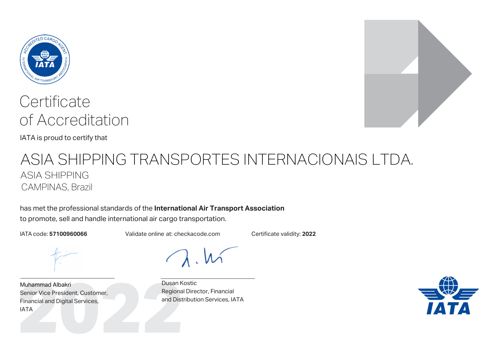

IATA is proud to certify that

## ASIA SHIPPING TRANSPORTES INTERNACIONAIS LTDA. ASIA SHIPPING CAMPINAS, Brazil

has met the professional standards of the **International Air Transport Association** to promote, sell and handle international air cargo transportation.

IATA code: **57100960066** Validate online at: checkacode.com Certificate validity: **2022**

Muhammad Albakri<br>
Senior Vice President, Customer, Regiona<br>
Financial and Digital Services,<br>
IATA<br>
Pusan K<br>
Regiona<br>
and Dist Muhammad Albakri Senior Vice President, Customer, Financial and Digital Services, IATA